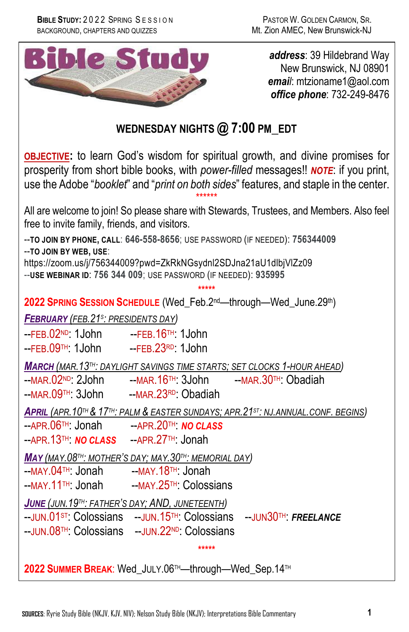

*address*: 39 Hildebrand Way New Brunswick, NJ 08901 *email*: mtzioname1@aol.com *office phone*: 732-249-8476

# **WEDNESDAY NIGHTS @ 7:00 PM\_EDT**

**OBJECTIVE:** to learn God's wisdom for spiritual growth, and divine promises for prosperity from short bible books, with *power-filled* messages!! *NOTE*: if you print, use the Adobe "*booklet*" and "*print on both sides*" features, and staple in the center. \*\*\*\*\*\*

All are welcome to join! So please share with Stewards, Trustees, and Members. Also feel free to invite family, friends, and visitors.

**\*\*\*\*\***

--**TO JOIN BY PHONE, CALL**: **646-558-8656**; USE PASSWORD (IF NEEDED): **756344009** --**TO JOIN BY WEB, USE**: https://zoom.us/j/756344009?pwd=ZkRkNGsydnl2SDJna21aU1dlbjVlZz09

--**USE WEBINAR ID**: **756 344 009**; USE PASSWORD (IF NEEDED): **935995**

**2022 SPRING SESSION SCHEDULE** (Wed\_Feb.2nd—through—Wed\_June.29th)

*FEBRUARY (FEB.21S: PRESIDENTS DAY)*

 $-FFB.02<sup>ND</sup>: 1John - FFB.16<sup>TH</sup>: 1John$  $-FFB.09$ <sup>TH:</sup> 1John  $-FFB.23$ <sup>RD:</sup> 1John

*MARCH (MAR.13TH: DAYLIGHT SAVINGS TIME STARTS; SET CLOCKS 1-HOUR AHEAD)*

 $-MAR.02^{ND}$ : 2John  $-MAR.16^{TH}$ : 3John  $-MAR.30^{TH}$ : Obadiah

--MAR.09TH: 3John --MAR.23RD: Obadiah

*APRIL (APR.10TH & 17TH: PALM & EASTER SUNDAYS; APR.21ST: NJ.ANNUAL.CONF. BEGINS)*

--APR.06TH: Jonah --APR.20TH: *NO CLASS* --APR.13TH: *NO CLASS* --APR.27TH: Jonah

*MAY (MAY.08TH: MOTHER'S DAY; MAY.30TH: MEMORIAL DAY)*

- --MAY.04™: Jonah --MAY.18™: Jonah<br>--MAY.11™: Jonah --MAY.25™: Coloss
- --MAY.25TH: Colossians

*JUNE (JUN.19TH: FATHER'S DAY; AND, JUNETEENTH)*

--JUN.01ST: Colossians --JUN.15TH: Colossians --JUN30TH: *FREELANCE*

**\*\*\*\*\***

--JUN.08TH: Colossians --JUN.22ND: Colossians

**2022 SUMMER BREAK**: Wed\_JULY.06TH—through—Wed\_Sep.14TH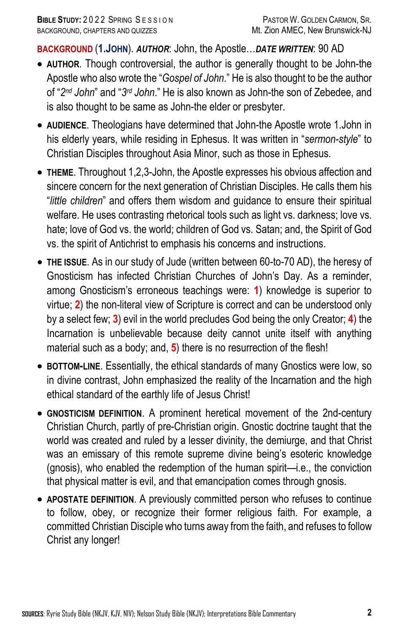**BACKGROUND** (**1.JOHN**). *AUTHOR*: John, the Apostle…*DATE WRITTEN*: 90 AD

- **AUTHOR**. Though controversial, the author is generally thought to be John-the Apostle who also wrote the "*Gospel of John*." He is also thought to be the author of "*2nd John*" and "*3rd John*." He is also known as John-the son of Zebedee, and is also thought to be same as John-the elder or presbyter.
- **AUDIENCE**. Theologians have determined that John-the Apostle wrote 1.John in his elderly years, while residing in Ephesus. It was written in "*sermon-style*" to Christian Disciples throughout Asia Minor, such as those in Ephesus.
- **THEME**. Throughout 1,2,3-John, the Apostle expresses his obvious affection and sincere concern for the next generation of Christian Disciples. He calls them his "*little children*" and offers them wisdom and guidance to ensure their spiritual welfare. He uses contrasting rhetorical tools such as light vs. darkness; love vs. hate; love of God vs. the world; children of God vs. Satan; and, the Spirit of God vs. the spirit of Antichrist to emphasis his concerns and instructions.
- **THE ISSUE**. As in our study of Jude (written between 60-to-70 AD), the heresy of Gnosticism has infected Christian Churches of John's Day. As a reminder, among Gnosticism's erroneous teachings were: **1**) knowledge is superior to virtue; **2**) the non-literal view of Scripture is correct and can be understood only by a select few; **3**) evil in the world precludes God being the only Creator; **4**) the Incarnation is unbelievable because deity cannot unite itself with anything material such as a body; and, **5**) there is no resurrection of the flesh!
- **BOTTOM-LINE**. Essentially, the ethical standards of many Gnostics were low, so in divine contrast, John emphasized the reality of the Incarnation and the high ethical standard of the earthly life of Jesus Christ!
- **GNOSTICISM DEFINITION**. A prominent heretical movement of the 2nd-century Christian Church, partly of pre-Christian origin. Gnostic doctrine taught that the world was created and ruled by a lesser divinity, the demiurge, and that Christ was an emissary of this remote supreme divine being's esoteric knowledge (gnosis), who enabled the redemption of the human spirit—i.e., the conviction that physical matter is evil, and that emancipation comes through gnosis.
- **APOSTATE DEFINITION**. A previously committed person who refuses to continue to follow, obey, or recognize their former religious faith. For example, a committed Christian Disciple who turns away from the faith, and refuses to follow Christ any longer!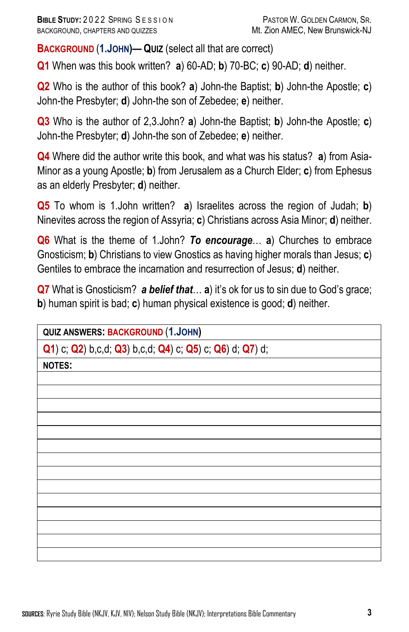**BACKGROUND** (**1.JOHN)— QUIZ** (select all that are correct)

**Q1** When was this book written? **a**) 60-AD; **b**) 70-BC; **c**) 90-AD; **d**) neither.

**Q2** Who is the author of this book? **a**) John-the Baptist; **b**) John-the Apostle; **c**) John-the Presbyter; **d**) John-the son of Zebedee; **e**) neither.

**Q3** Who is the author of 2,3.John? **a**) John-the Baptist; **b**) John-the Apostle; **c**) John-the Presbyter; **d**) John-the son of Zebedee; **e**) neither.

**Q4** Where did the author write this book, and what was his status? **a**) from Asia-Minor as a young Apostle; **b**) from Jerusalem as a Church Elder; **c**) from Ephesus as an elderly Presbyter; **d**) neither.

**Q5** To whom is 1.John written? **a**) Israelites across the region of Judah; **b**) Ninevites across the region of Assyria; **c**) Christians across Asia Minor; **d**) neither.

**Q6** What is the theme of 1.John? *To encourage*… **a**) Churches to embrace Gnosticism; **b**) Christians to view Gnostics as having higher morals than Jesus; **c**) Gentiles to embrace the incarnation and resurrection of Jesus; **d**) neither.

**Q7** What is Gnosticism? *a belief that*… **a**) it's ok for us to sin due to God's grace; **b**) human spirit is bad; **c**) human physical existence is good; **d**) neither.

**QUIZ ANSWERS: BACKGROUND** (**1.JOHN)**

**Q1**) c; **Q2**) b,c,d; **Q3**) b,c,d; **Q4**) c; **Q5**) c; **Q6**) d; **Q7**) d;

**NOTES:**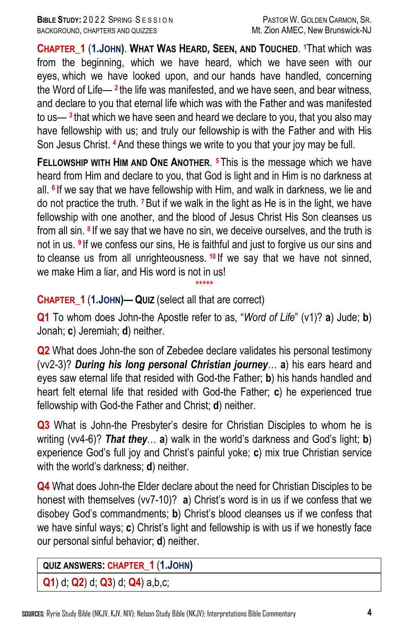**CHAPTER\_1** (**1.JOHN)**. **WHAT WAS HEARD, SEEN, AND TOUCHED**. **<sup>1</sup>**That which was from the beginning, which we have heard, which we have seen with our eyes, which we have looked upon, and our hands have handled, concerning the Word of Life— **<sup>2</sup>** the life was manifested, and we have seen, and bear witness, and declare to you that eternal life which was with the Father and was manifested to us— **<sup>3</sup>** that which we have seen and heard we declare to you, that you also may have fellowship with us; and truly our fellowship is with the Father and with His Son Jesus Christ. **<sup>4</sup>**And these things we write to you that your joy may be full.

**FELLOWSHIP WITH HIM AND ONE ANOTHER**. **<sup>5</sup>** This is the message which we have heard from Him and declare to you, that God is light and in Him is no darkness at all. **<sup>6</sup>** If we say that we have fellowship with Him, and walk in darkness, we lie and do not practice the truth. **<sup>7</sup>**But if we walk in the light as He is in the light, we have fellowship with one another, and the blood of Jesus Christ His Son cleanses us from all sin. **<sup>8</sup>** If we say that we have no sin, we deceive ourselves, and the truth is not in us. **<sup>9</sup>** If we confess our sins, He is faithful and just to forgive us our sins and to cleanse us from all unrighteousness. **<sup>10</sup>** If we say that we have not sinned, we make Him a liar, and His word is not in us!

## **CHAPTER\_1** (**1.JOHN)— QUIZ** (select all that are correct)

**Q1** To whom does John-the Apostle refer to as, "*Word of Life*" (v1)? **a**) Jude; **b**) Jonah; **c**) Jeremiah; **d**) neither.

\*\*\*\*\*

**Q2** What does John-the son of Zebedee declare validates his personal testimony (vv2-3)? *During his long personal Christian journey*… **a**) his ears heard and eyes saw eternal life that resided with God-the Father; **b**) his hands handled and heart felt eternal life that resided with God-the Father; **c**) he experienced true fellowship with God-the Father and Christ; **d**) neither.

**Q3** What is John-the Presbyter's desire for Christian Disciples to whom he is writing (vv4-6)? *That they*… **a**) walk in the world's darkness and God's light; **b**) experience God's full joy and Christ's painful yoke; **c**) mix true Christian service with the world's darkness; **d**) neither.

**Q4** What does John-the Elder declare about the need for Christian Disciples to be honest with themselves (vv7-10)? **a**) Christ's word is in us if we confess that we disobey God's commandments; **b**) Christ's blood cleanses us if we confess that we have sinful ways; **c**) Christ's light and fellowship is with us if we honestly face our personal sinful behavior; **d**) neither.

#### **QUIZ ANSWERS: CHAPTER\_1** (**1.JOHN)**

**Q1**) d; **Q2**) d; **Q3**) d; **Q4**) a,b,c;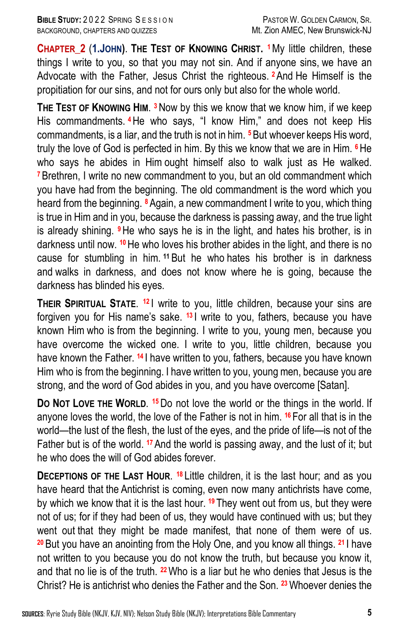**CHAPTER\_2** (**1.JOHN)**. **THE TEST OF KNOWING CHRIST. 1**My little children, these things I write to you, so that you may not sin. And if anyone sins, we have an Advocate with the Father, Jesus Christ the righteous. **<sup>2</sup>**And He Himself is the propitiation for our sins, and not for ours only but also for the whole world.

**THE TEST OF KNOWING HIM**. **3**Now by this we know that we know him, if we keep His commandments. **<sup>4</sup>**He who says, "I know Him," and does not keep His commandments, is a liar, and the truth is not in him. **<sup>5</sup>**But whoever keeps His word, truly the love of God is perfected in him. By this we know that we are in Him. **<sup>6</sup>**He who says he abides in Him ought himself also to walk just as He walked. **<sup>7</sup>**Brethren, I write no new commandment to you, but an old commandment which you have had from the beginning. The old commandment is the word which you heard from the beginning. **<sup>8</sup>**Again, a new commandment I write to you, which thing is true in Him and in you, because the darkness is passing away, and the true light is already shining. **<sup>9</sup>**He who says he is in the light, and hates his brother, is in darkness until now. **<sup>10</sup>**He who loves his brother abides in the light, and there is no cause for stumbling in him. **<sup>11</sup>** But he who hates his brother is in darkness and walks in darkness, and does not know where he is going, because the darkness has blinded his eyes.

**THEIR SPIRITUAL STATE.** <sup>12</sup> I write to you, little children, because your sins are forgiven you for His name's sake. **<sup>13</sup>** I write to you, fathers, because you have known Him who is from the beginning. I write to you, young men, because you have overcome the wicked one. I write to you, little children, because you have known the Father. **<sup>14</sup>** I have written to you, fathers, because you have known Him who is from the beginning. I have written to you, young men, because you are strong, and the word of God abides in you, and you have overcome [Satan].

**DO NOT LOVE THE WORLD**. **15**Do not love the world or the things in the world. If anyone loves the world, the love of the Father is not in him. **<sup>16</sup>** For all that is in the world—the lust of the flesh, the lust of the eyes, and the pride of life—is not of the Father but is of the world. **<sup>17</sup>**And the world is passing away, and the lust of it; but he who does the will of God abides forever.

**DECEPTIONS OF THE LAST HOUR. <sup>18</sup> Little children, it is the last hour; and as you** have heard that the Antichrist is coming, even now many antichrists have come, by which we know that it is the last hour. **<sup>19</sup>** They went out from us, but they were not of us; for if they had been of us, they would have continued with us; but they went out that they might be made manifest, that none of them were of us. **<sup>20</sup>** But you have an anointing from the Holy One, and you know all things. **<sup>21</sup>** I have not written to you because you do not know the truth, but because you know it, and that no lie is of the truth. **<sup>22</sup>**Who is a liar but he who denies that Jesus is the Christ? He is antichrist who denies the Father and the Son. **<sup>23</sup>**Whoever denies the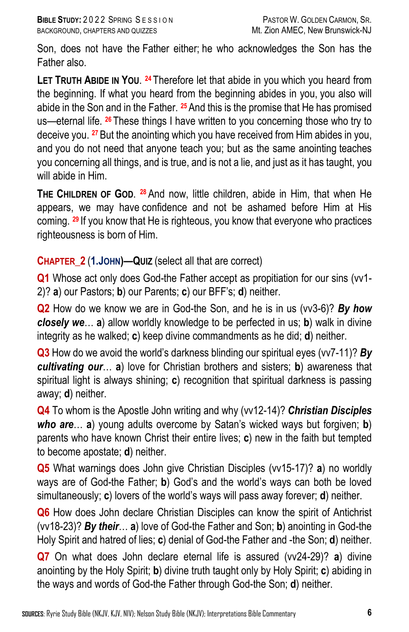Son, does not have the Father either; he who acknowledges the Son has the Father also.

**LET TRUTH ABIDE IN YOU**. **<sup>24</sup>** Therefore let that abide in you which you heard from the beginning. If what you heard from the beginning abides in you, you also will abide in the Son and in the Father. **<sup>25</sup>**And this is the promise that He has promised us—eternal life. **<sup>26</sup>** These things I have written to you concerning those who try to deceive you. **<sup>27</sup>**But the anointing which you have received from Him abides in you, and you do not need that anyone teach you; but as the same anointing teaches you concerning all things, and is true, and is not a lie, and just as it has taught, you will abide in Him.

**THE CHILDREN OF GOD**. **<sup>28</sup>** And now, little children, abide in Him, that when He appears, we may have confidence and not be ashamed before Him at His coming. **<sup>29</sup>** If you know that He is righteous, you know that everyone who practices righteousness is born of Him.

### **CHAPTER\_2** (**1.JOHN)—QUIZ** (select all that are correct)

**Q1** Whose act only does God-the Father accept as propitiation for our sins (vv1- 2)? **a**) our Pastors; **b**) our Parents; **c**) our BFF's; **d**) neither.

**Q2** How do we know we are in God-the Son, and he is in us (vv3-6)? *By how closely we*… **a**) allow worldly knowledge to be perfected in us; **b**) walk in divine integrity as he walked; **c**) keep divine commandments as he did; **d**) neither.

**Q3** How do we avoid the world's darkness blinding our spiritual eyes (vv7-11)? *By cultivating our*… **a**) love for Christian brothers and sisters; **b**) awareness that spiritual light is always shining; **c**) recognition that spiritual darkness is passing away; **d**) neither.

**Q4** To whom is the Apostle John writing and why (vv12-14)? *Christian Disciples who are*… **a**) young adults overcome by Satan's wicked ways but forgiven; **b**) parents who have known Christ their entire lives; **c**) new in the faith but tempted to become apostate; **d**) neither.

**Q5** What warnings does John give Christian Disciples (vv15-17)? **a**) no worldly ways are of God-the Father; **b**) God's and the world's ways can both be loved simultaneously; **c**) lovers of the world's ways will pass away forever; **d**) neither.

**Q6** How does John declare Christian Disciples can know the spirit of Antichrist (vv18-23)? *By their*… **a**) love of God-the Father and Son; **b**) anointing in God-the Holy Spirit and hatred of lies; **c**) denial of God-the Father and -the Son; **d**) neither.

**Q7** On what does John declare eternal life is assured (vv24-29)? **a**) divine anointing by the Holy Spirit; **b**) divine truth taught only by Holy Spirit; **c**) abiding in the ways and words of God-the Father through God-the Son; **d**) neither.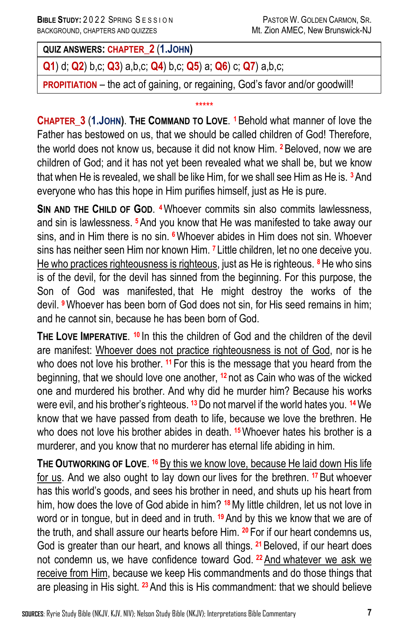**QUIZ ANSWERS: CHAPTER\_2** (**1.JOHN)**

**Q1**) d; **Q2**) b,c; **Q3**) a,b,c; **Q4**) b,c; **Q5**) a; **Q6**) c; **Q7**) a,b,c;

**PROPITIATION** – the act of gaining, or regaining, God's favor and/or goodwill!

\*\*\*\*\*

# **CHAPTER\_3** (**1.JOHN)**. **THE COMMAND TO LOVE**. **1**Behold what manner of love the Father has bestowed on us, that we should be called children of God! Therefore, the world does not know us, because it did not know Him. **<sup>2</sup>**Beloved, now we are children of God; and it has not yet been revealed what we shall be, but we know that when He is revealed, we shall be like Him, for we shall see Him as He is. **<sup>3</sup>**And everyone who has this hope in Him purifies himself, just as He is pure.

**SIN AND THE CHILD OF GOD**. **4**Whoever commits sin also commits lawlessness, and sin is lawlessness. **<sup>5</sup>**And you know that He was manifested to take away our sins, and in Him there is no sin. **<sup>6</sup>**Whoever abides in Him does not sin. Whoever sins has neither seen Him nor known Him. **<sup>7</sup>** Little children, let no one deceive you. He who practices righteousness is righteous, just as He is righteous. **<sup>8</sup>**He who sins is of the devil, for the devil has sinned from the beginning. For this purpose, the Son of God was manifested, that He might destroy the works of the devil. **<sup>9</sup>**Whoever has been born of God does not sin, for His seed remains in him; and he cannot sin, because he has been born of God.

**THE LOVE IMPERATIVE**. **<sup>10</sup>** In this the children of God and the children of the devil are manifest: Whoever does not practice righteousness is not of God, nor is he who does not love his brother. **<sup>11</sup>** For this is the message that you heard from the beginning, that we should love one another, **<sup>12</sup>** not as Cain who was of the wicked one and murdered his brother. And why did he murder him? Because his works were evil, and his brother's righteous. **<sup>13</sup>**Do not marvel if the world hates you. **<sup>14</sup>**We know that we have passed from death to life, because we love the brethren. He who does not love his brother abides in death. **<sup>15</sup>**Whoever hates his brother is a murderer, and you know that no murderer has eternal life abiding in him.

**THE OUTWORKING OF LOVE**. **<sup>16</sup>** By this we know love, because He laid down His life for us. And we also ought to lay down our lives for the brethren. **<sup>17</sup>**But whoever has this world's goods, and sees his brother in need, and shuts up his heart from him, how does the love of God abide in him? **<sup>18</sup>**My little children, let us not love in word or in tongue, but in deed and in truth. **<sup>19</sup>**And by this we know that we are of the truth, and shall assure our hearts before Him. **<sup>20</sup>** For if our heart condemns us, God is greater than our heart, and knows all things. **<sup>21</sup>**Beloved, if our heart does not condemn us, we have confidence toward God. **<sup>22</sup>**And whatever we ask we receive from Him, because we keep His commandments and do those things that are pleasing in His sight. **<sup>23</sup>**And this is His commandment: that we should believe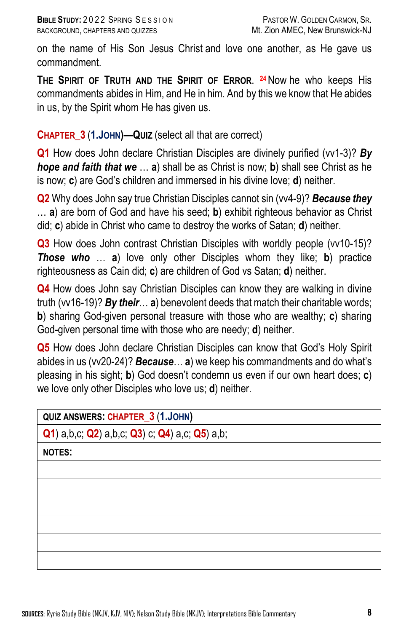on the name of His Son Jesus Christ and love one another, as He gave us commandment.

**THE SPIRIT OF TRUTH AND THE SPIRIT OF ERROR**. **24**Now he who keeps His commandments abides in Him, and He in him. And by this we know that He abides in us, by the Spirit whom He has given us.

### **CHAPTER\_3** (**1.JOHN)—QUIZ** (select all that are correct)

**Q1** How does John declare Christian Disciples are divinely purified (vv1-3)? By *hope and faith that we* … **a**) shall be as Christ is now; **b**) shall see Christ as he is now; **c**) are God's children and immersed in his divine love; **d**) neither.

**Q2** Why does John say true Christian Disciples cannot sin (vv4-9)? *Because they*  … **a**) are born of God and have his seed; **b**) exhibit righteous behavior as Christ did; **c**) abide in Christ who came to destroy the works of Satan; **d**) neither.

**Q3** How does John contrast Christian Disciples with worldly people (vv10-15)? *Those who* … **a**) love only other Disciples whom they like; **b**) practice righteousness as Cain did; **c**) are children of God vs Satan; **d**) neither.

**Q4** How does John say Christian Disciples can know they are walking in divine truth (vv16-19)? *By their*… **a**) benevolent deeds that match their charitable words; **b**) sharing God-given personal treasure with those who are wealthy; **c**) sharing God-given personal time with those who are needy; **d**) neither.

**Q5** How does John declare Christian Disciples can know that God's Holy Spirit abides in us (vv20-24)? *Because*… **a**) we keep his commandments and do what's pleasing in his sight; **b**) God doesn't condemn us even if our own heart does; **c**) we love only other Disciples who love us; **d**) neither.

| <b>QUIZ ANSWERS: CHAPTER_3 (1.JOHN)</b>        |
|------------------------------------------------|
| Q1) a,b,c; Q2) a,b,c; Q3) c; Q4) a,c; Q5) a,b; |
| <b>NOTES:</b>                                  |
|                                                |
|                                                |
|                                                |
|                                                |
|                                                |
|                                                |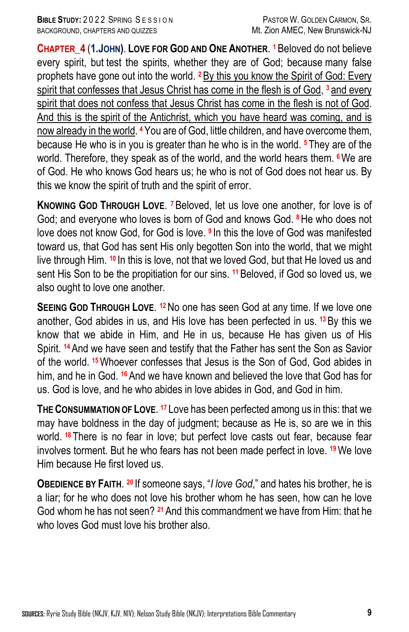**CHAPTER\_4** (**1.JOHN)**. **LOVE FOR GOD AND ONE ANOTHER**. **1**Beloved do not believe every spirit, but test the spirits, whether they are of God; because many false prophets have gone out into the world. **<sup>2</sup>**By this you know the Spirit of God: Every spirit that confesses that Jesus Christ has come in the flesh is of God, **<sup>3</sup>** and every spirit that does not confess that Jesus Christ has come in the flesh is not of God. And this is the spirit of the Antichrist, which you have heard was coming, and is now already in the world. **<sup>4</sup>**You are of God, little children, and have overcome them, because He who is in you is greater than he who is in the world. **<sup>5</sup>** They are of the world. Therefore, they speak as of the world, and the world hears them. **<sup>6</sup>**We are of God. He who knows God hears us; he who is not of God does not hear us. By this we know the spirit of truth and the spirit of error.

**KNOWING GOD THROUGH LOVE**. **7**Beloved, let us love one another, for love is of God; and everyone who loves is born of God and knows God. **<sup>8</sup>**He who does not love does not know God, for God is love. **<sup>9</sup>** In this the love of God was manifested toward us, that God has sent His only begotten Son into the world, that we might live through Him. **<sup>10</sup>** In this is love, not that we loved God, but that He loved us and sent His Son to be the propitiation for our sins. **<sup>11</sup>**Beloved, if God so loved us, we also ought to love one another.

**SEEING GOD THROUGH LOVE**. **12**No one has seen God at any time. If we love one another, God abides in us, and His love has been perfected in us. **<sup>13</sup>**By this we know that we abide in Him, and He in us, because He has given us of His Spirit. **<sup>14</sup>**And we have seen and testify that the Father has sent the Son as Savior of the world. **<sup>15</sup>**Whoever confesses that Jesus is the Son of God, God abides in him, and he in God. **<sup>16</sup>**And we have known and believed the love that God has for us. God is love, and he who abides in love abides in God, and God in him.

**THE CONSUMMATION OF LOVE**. **<sup>17</sup>** Love has been perfected among us in this: that we may have boldness in the day of judgment; because as He is, so are we in this world. **<sup>18</sup>** There is no fear in love; but perfect love casts out fear, because fear involves torment. But he who fears has not been made perfect in love. **<sup>19</sup>**We love Him because He first loved us.

**OBEDIENCE BY FAITH**. **<sup>20</sup>** If someone says, "*I love God*," and hates his brother, he is a liar; for he who does not love his brother whom he has seen, how can he love God whom he has not seen? **<sup>21</sup>**And this commandment we have from Him: that he who loves God must love his brother also.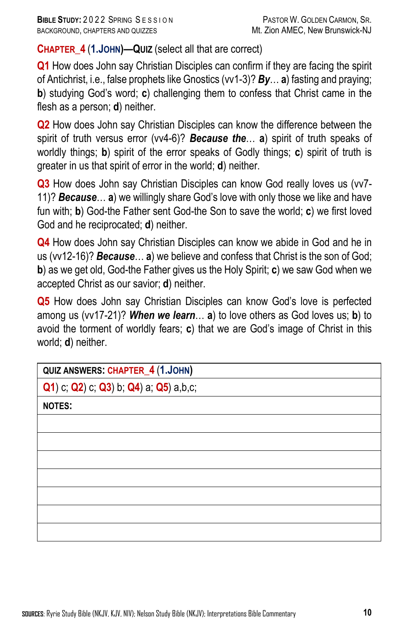**CHAPTER\_4** (**1.JOHN)—QUIZ** (select all that are correct)

**Q1** How does John say Christian Disciples can confirm if they are facing the spirit of Antichrist, i.e., false prophets like Gnostics (vv1-3)? *By*… **a**) fasting and praying; **b**) studying God's word; **c**) challenging them to confess that Christ came in the flesh as a person; **d**) neither.

**Q2** How does John say Christian Disciples can know the difference between the spirit of truth versus error (vv4-6)? *Because the*… **a**) spirit of truth speaks of worldly things; **b**) spirit of the error speaks of Godly things; **c**) spirit of truth is greater in us that spirit of error in the world; **d**) neither.

**Q3** How does John say Christian Disciples can know God really loves us (vv7- 11)? *Because*… **a**) we willingly share God's love with only those we like and have fun with; **b**) God-the Father sent God-the Son to save the world; **c**) we first loved God and he reciprocated; **d**) neither.

**Q4** How does John say Christian Disciples can know we abide in God and he in us (vv12-16)? *Because*… **a**) we believe and confess that Christ is the son of God; **b**) as we get old, God-the Father gives us the Holy Spirit; **c**) we saw God when we accepted Christ as our savior; **d**) neither.

**Q5** How does John say Christian Disciples can know God's love is perfected among us (vv17-21)? *When we learn*… **a**) to love others as God loves us; **b**) to avoid the torment of worldly fears; **c**) that we are God's image of Christ in this world; **d**) neither.

| QUIZ ANSWERS: CHAPTER_4 (1.JOHN)       |
|----------------------------------------|
| Q1) c; Q2) c; Q3) b; Q4) a; Q5) a,b,c; |
| <b>NOTES:</b>                          |
|                                        |
|                                        |
|                                        |
|                                        |
|                                        |
|                                        |
|                                        |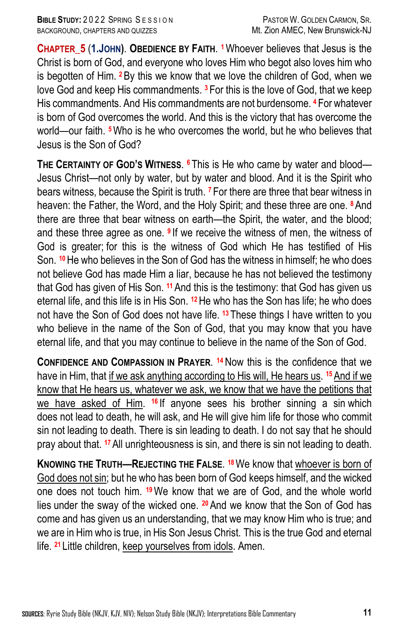**CHAPTER\_5** (**1.JOHN)**. **OBEDIENCE BY FAITH**. **1**Whoever believes that Jesus is the Christ is born of God, and everyone who loves Him who begot also loves him who is begotten of Him. **<sup>2</sup>**By this we know that we love the children of God, when we love God and keep His commandments. **<sup>3</sup>** For this is the love of God, that we keep His commandments. And His commandments are not burdensome. **<sup>4</sup>** For whatever is born of God overcomes the world. And this is the victory that has overcome the world—our faith. **5**Who is he who overcomes the world, but he who believes that Jesus is the Son of God?

**THE CERTAINTY OF GOD'S WITNESS**. **<sup>6</sup>** This is He who came by water and blood— Jesus Christ—not only by water, but by water and blood. And it is the Spirit who bears witness, because the Spirit is truth. **<sup>7</sup>** For there are three that bear witness in heaven: the Father, the Word, and the Holy Spirit; and these three are one. **<sup>8</sup>**And there are three that bear witness on earth—the Spirit, the water, and the blood; and these three agree as one. **<sup>9</sup>** If we receive the witness of men, the witness of God is greater; for this is the witness of God which He has testified of His Son. **<sup>10</sup>**He who believes in the Son of God has the witness in himself; he who does not believe God has made Him a liar, because he has not believed the testimony that God has given of His Son. **<sup>11</sup>** And this is the testimony: that God has given us eternal life, and this life is in His Son. **<sup>12</sup>**He who has the Son has life; he who does not have the Son of God does not have life. **<sup>13</sup>** These things I have written to you who believe in the name of the Son of God, that you may know that you have eternal life, and that you may continue to believe in the name of the Son of God.

**CONFIDENCE AND COMPASSION IN PRAYER**. **14**Now this is the confidence that we have in Him, that if we ask anything according to His will, He hears us. **<sup>15</sup>**And if we know that He hears us, whatever we ask, we know that we have the petitions that we have asked of Him. **<sup>16</sup>** If anyone sees his brother sinning a sin which does not lead to death, he will ask, and He will give him life for those who commit sin not leading to death. There is sin leading to death. I do not say that he should pray about that. **<sup>17</sup>**All unrighteousness is sin, and there is sin not leading to death.

**KNOWING THE TRUTH—REJECTING THE FALSE**. **18**We know that whoever is born of God does not sin; but he who has been born of God keeps himself, and the wicked one does not touch him. **19**We know that we are of God, and the whole world lies under the sway of the wicked one. **20**And we know that the Son of God has come and has given us an understanding, that we may know Him who is true; and we are in Him who is true, in His Son Jesus Christ. This is the true God and eternal life. **<sup>21</sup>** Little children, keep yourselves from idols. Amen.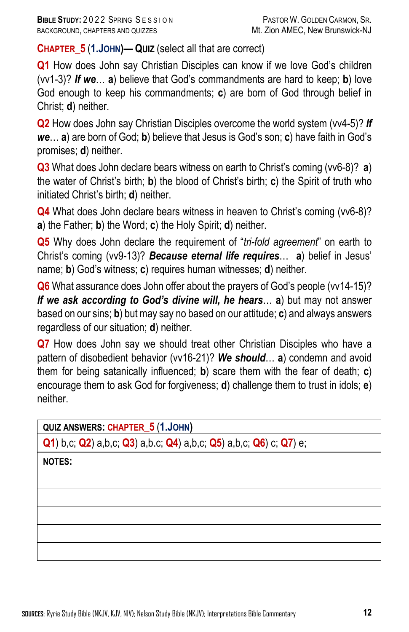**CHAPTER\_5** (**1.JOHN)— QUIZ** (select all that are correct)

**Q1** How does John say Christian Disciples can know if we love God's children (vv1-3)? *If we*… **a**) believe that God's commandments are hard to keep; **b**) love God enough to keep his commandments; **c**) are born of God through belief in Christ; **d**) neither.

**Q2** How does John say Christian Disciples overcome the world system (vv4-5)? *If we*… **a**) are born of God; **b**) believe that Jesus is God's son; **c**) have faith in God's promises; **d**) neither.

**Q3** What does John declare bears witness on earth to Christ's coming (vv6-8)? **a**) the water of Christ's birth; **b**) the blood of Christ's birth; **c**) the Spirit of truth who initiated Christ's birth; **d**) neither.

**Q4** What does John declare bears witness in heaven to Christ's coming (vv6-8)? **a**) the Father; **b**) the Word; **c**) the Holy Spirit; **d**) neither.

**Q5** Why does John declare the requirement of "*tri-fold agreement*" on earth to Christ's coming (vv9-13)? *Because eternal life requires*… **a**) belief in Jesus' name; **b**) God's witness; **c**) requires human witnesses; **d**) neither.

**Q6** What assurance does John offer about the prayers of God's people (vv14-15)? *If we ask according to God's divine will, he hears*… **a**) but may not answer based on our sins; **b**) but may say no based on our attitude; **c**) and always answers regardless of our situation; **d**) neither.

**Q7** How does John say we should treat other Christian Disciples who have a pattern of disobedient behavior (vv16-21)? *We should*… **a**) condemn and avoid them for being satanically influenced; **b**) scare them with the fear of death; **c**) encourage them to ask God for forgiveness; **d**) challenge them to trust in idols; **e**) neither.

#### **QUIZ ANSWERS: CHAPTER\_5** (**1.JOHN)**

**Q1**) b,c; **Q2**) a,b,c; **Q3**) a,b.c; **Q4**) a,b,c; **Q5**) a,b,c; **Q6**) c; **Q7**) e;

**NOTES:**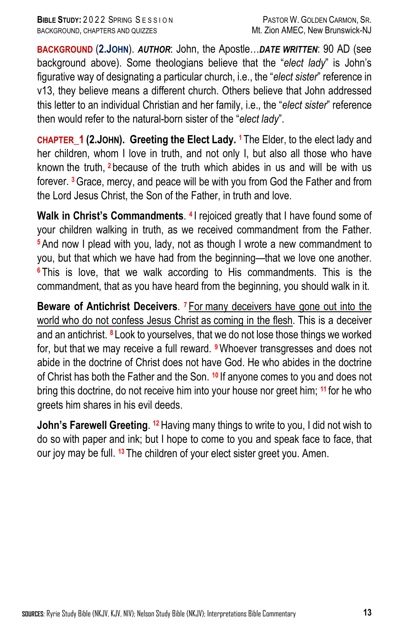**BACKGROUND** (**2.JOHN**). *AUTHOR*: John, the Apostle…*DATE WRITTEN*: 90 AD (see background above). Some theologians believe that the "*elect lady*" is John's figurative way of designating a particular church, i.e., the "*elect sister*" reference in v13, they believe means a different church. Others believe that John addressed this letter to an individual Christian and her family, i.e., the "*elect sister*" reference then would refer to the natural-born sister of the "*elect lady*".

**CHAPTER\_1 (2.JOHN). Greeting the Elect Lady. 1** The Elder, to the elect lady and her children, whom I love in truth, and not only I, but also all those who have known the truth, **<sup>2</sup>** because of the truth which abides in us and will be with us forever. **3**Grace, mercy, and peace will be with you from God the Father and from the Lord Jesus Christ, the Son of the Father, in truth and love.

**Walk in Christ's Commandments**. **<sup>4</sup>** I rejoiced greatly that I have found some of your children walking in truth, as we received commandment from the Father. **<sup>5</sup>**And now I plead with you, lady, not as though I wrote a new commandment to you, but that which we have had from the beginning—that we love one another. **<sup>6</sup>** This is love, that we walk according to His commandments. This is the commandment, that as you have heard from the beginning, you should walk in it.

**Beware of Antichrist Deceivers**. **<sup>7</sup>** For many deceivers have gone out into the world who do not confess Jesus Christ as coming in the flesh. This is a deceiver and an antichrist. **<sup>8</sup>** Look to yourselves, that we do not lose those things we worked for, but that we may receive a full reward. **<sup>9</sup>**Whoever transgresses and does not abide in the doctrine of Christ does not have God. He who abides in the doctrine of Christ has both the Father and the Son. **<sup>10</sup>** If anyone comes to you and does not bring this doctrine, do not receive him into your house nor greet him; **<sup>11</sup>** for he who greets him shares in his evil deeds.

**John's Farewell Greeting**. **12**Having many things to write to you, I did not wish to do so with paper and ink; but I hope to come to you and speak face to face, that our joy may be full. **<sup>13</sup>** The children of your elect sister greet you. Amen.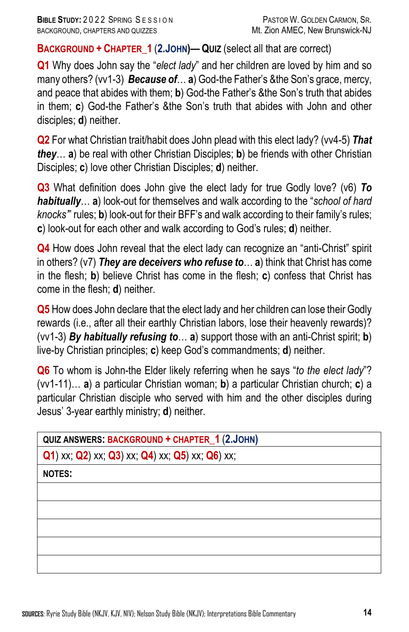**BACKGROUND + CHAPTER\_1** (**2.JOHN)— QUIZ** (select all that are correct)

**Q1** Why does John say the "*elect lady*" and her children are loved by him and so many others? (vv1-3) *Because of*… **a**) God-the Father's &the Son's grace, mercy, and peace that abides with them; **b**) God-the Father's &the Son's truth that abides in them; **c**) God-the Father's &the Son's truth that abides with John and other disciples; **d**) neither.

**Q2** For what Christian trait/habit does John plead with this elect lady? (vv4-5) *That they*… **a**) be real with other Christian Disciples; **b**) be friends with other Christian Disciples; **c**) love other Christian Disciples; **d**) neither.

**Q3** What definition does John give the elect lady for true Godly love? (v6) *To habitually*… **a**) look-out for themselves and walk according to the "*school of hard knocks'*" rules; **b**) look-out for their BFF's and walk according to their family's rules; **c**) look-out for each other and walk according to God's rules; **d**) neither.

**Q4** How does John reveal that the elect lady can recognize an "anti-Christ" spirit in others? (v7) *They are deceivers who refuse to*… **a**) think that Christ has come in the flesh; **b**) believe Christ has come in the flesh; **c**) confess that Christ has come in the flesh; **d**) neither.

**Q5** How does John declare that the elect lady and her children can lose their Godly rewards (i.e., after all their earthly Christian labors, lose their heavenly rewards)? (vv1-3) *By habitually refusing to*… **a**) support those with an anti-Christ spirit; **b**) live-by Christian principles; **c**) keep God's commandments; **d**) neither.

**Q6** To whom is John-the Elder likely referring when he says "*to the elect lady*"? (vv1-11)… **a**) a particular Christian woman; **b**) a particular Christian church; **c**) a particular Christian disciple who served with him and the other disciples during Jesus' 3-year earthly ministry; **d**) neither.

**Q1**) xx; **Q2**) xx; **Q3**) xx; **Q4**) xx; **Q5**) xx; **Q6**) xx;

**NOTES:**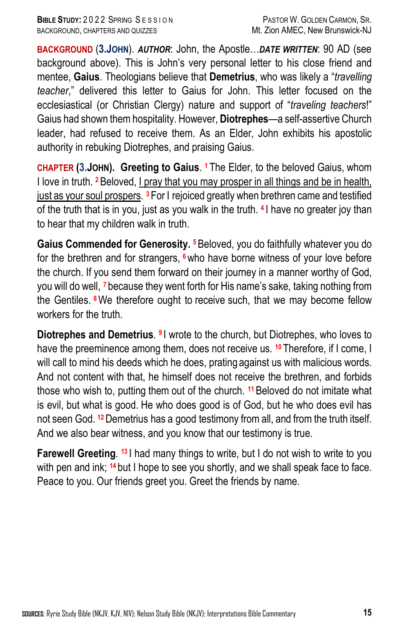**BACKGROUND** (**3.JOHN**). *AUTHOR*: John, the Apostle…*DATE WRITTEN*: 90 AD (see background above). This is John's very personal letter to his close friend and mentee, **Gaius**. Theologians believe that **Demetrius**, who was likely a "*travelling teacher*," delivered this letter to Gaius for John. This letter focused on the ecclesiastical (or Christian Clergy) nature and support of "*traveling teachers*!" Gaius had shown them hospitality. However, **Diotrephes**—a self-assertive Church leader, had refused to receive them. As an Elder, John exhibits his apostolic authority in rebuking Diotrephes, and praising Gaius.

**CHAPTER (3.JOHN). Greeting to Gaius**. **<sup>1</sup>** The Elder, to the beloved Gaius, whom I love in truth. **2**Beloved, I pray that you may prosper in all things and be in health, just as your soul prospers. **<sup>3</sup>** For I rejoiced greatly when brethren came and testified of the truth that is in you, just as you walk in the truth. **<sup>4</sup>** I have no greater joy than to hear that my children walk in truth.

**Gaius Commended for Generosity. <sup>5</sup>**Beloved, you do faithfully whatever you do for the brethren and for strangers, **<sup>6</sup>**who have borne witness of your love before the church. If you send them forward on their journey in a manner worthy of God, you will do well, **<sup>7</sup>** because they went forth for His name's sake, taking nothing from the Gentiles. **<sup>8</sup>**We therefore ought to receive such, that we may become fellow workers for the truth.

**Diotrephes and Demetrius**. **<sup>9</sup>** I wrote to the church, but Diotrephes, who loves to have the preeminence among them, does not receive us. **<sup>10</sup>** Therefore, if I come, I will call to mind his deeds which he does, prating against us with malicious words. And not content with that, he himself does not receive the brethren, and forbids those who wish to, putting them out of the church. **<sup>11</sup>**Beloved do not imitate what is evil, but what is good. He who does good is of God, but he who does evil has not seen God. **12**Demetrius has a good testimony from all, and from the truth itself. And we also bear witness, and you know that our testimony is true.

**Farewell Greeting. <sup>13</sup>** I had many things to write, but I do not wish to write to you with pen and ink; <sup>14</sup> but I hope to see you shortly, and we shall speak face to face. Peace to you. Our friends greet you. Greet the friends by name.